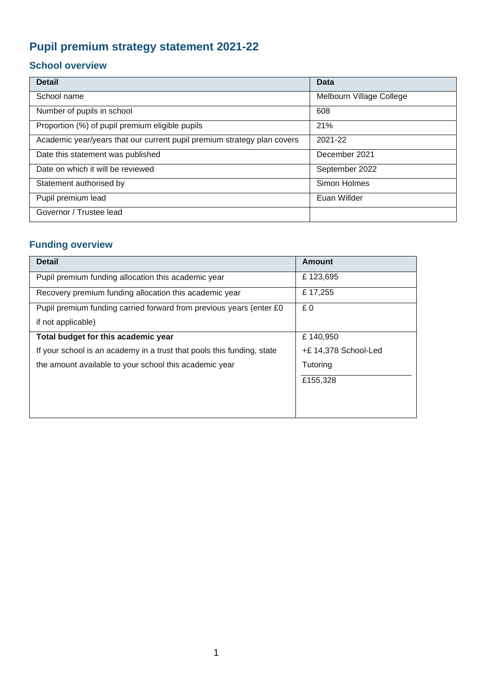# **Pupil premium strategy statement 2021-22**

### **School overview**

| <b>Detail</b>                                                           | <b>Data</b>              |
|-------------------------------------------------------------------------|--------------------------|
| School name                                                             | Melbourn Village College |
| Number of pupils in school                                              | 608                      |
| Proportion (%) of pupil premium eligible pupils                         | 21%                      |
| Academic year/years that our current pupil premium strategy plan covers | 2021-22                  |
| Date this statement was published                                       | December 2021            |
| Date on which it will be reviewed                                       | September 2022           |
| Statement authorised by                                                 | Simon Holmes             |
| Pupil premium lead                                                      | Euan Willder             |
| Governor / Trustee lead                                                 |                          |

## **Funding overview**

| <b>Detail</b>                                                          | <b>Amount</b>        |
|------------------------------------------------------------------------|----------------------|
| Pupil premium funding allocation this academic year                    | £123,695             |
| Recovery premium funding allocation this academic year                 | £17,255              |
| Pupil premium funding carried forward from previous years (enter £0)   | £0                   |
| if not applicable)                                                     |                      |
| Total budget for this academic year                                    | £140,950             |
| If your school is an academy in a trust that pools this funding, state | +£ 14,378 School-Led |
| the amount available to your school this academic year                 | Tutoring             |
|                                                                        | £155,328             |
|                                                                        |                      |
|                                                                        |                      |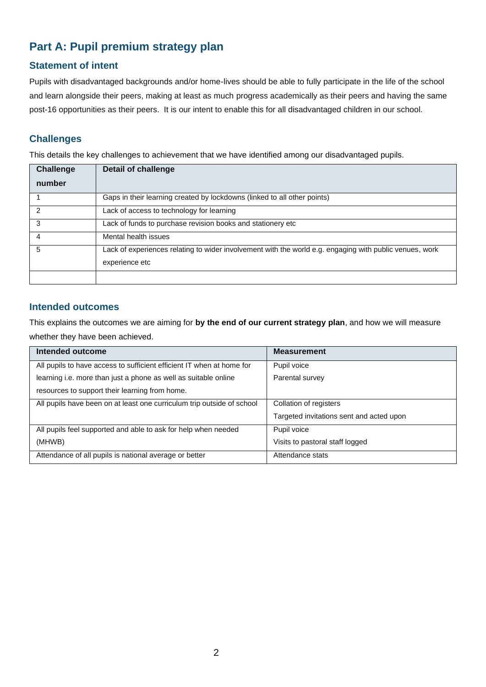### **Part A: Pupil premium strategy plan**

#### **Statement of intent**

Pupils with disadvantaged backgrounds and/or home-lives should be able to fully participate in the life of the school and learn alongside their peers, making at least as much progress academically as their peers and having the same post-16 opportunities as their peers. It is our intent to enable this for all disadvantaged children in our school.

#### **Challenges**

This details the key challenges to achievement that we have identified among our disadvantaged pupils.

| <b>Challenge</b> | <b>Detail of challenge</b>                                                                                                |
|------------------|---------------------------------------------------------------------------------------------------------------------------|
| number           |                                                                                                                           |
|                  | Gaps in their learning created by lockdowns (linked to all other points)                                                  |
|                  | Lack of access to technology for learning                                                                                 |
| 3                | Lack of funds to purchase revision books and stationery etc                                                               |
| 4                | Mental health issues                                                                                                      |
| 5                | Lack of experiences relating to wider involvement with the world e.g. engaging with public venues, work<br>experience etc |
|                  |                                                                                                                           |

#### **Intended outcomes**

This explains the outcomes we are aiming for **by the end of our current strategy plan**, and how we will measure whether they have been achieved.

| Intended outcome                                                       | <b>Measurement</b>                       |
|------------------------------------------------------------------------|------------------------------------------|
| All pupils to have access to sufficient efficient IT when at home for  | Pupil voice                              |
| learning i.e. more than just a phone as well as suitable online        | Parental survey                          |
| resources to support their learning from home.                         |                                          |
| All pupils have been on at least one curriculum trip outside of school | Collation of registers                   |
|                                                                        | Targeted invitations sent and acted upon |
| All pupils feel supported and able to ask for help when needed         | Pupil voice                              |
| (MHWB)                                                                 | Visits to pastoral staff logged          |
| Attendance of all pupils is national average or better                 | Attendance stats                         |